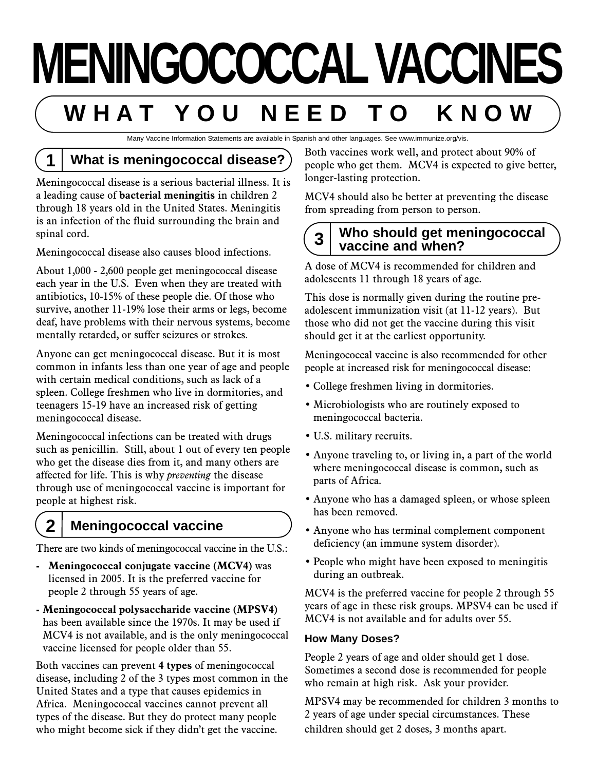# **MENINGOCOCCALVACCINES W H A T Y O U N E E D T O K N O W**

Many Vaccine Information Statements are available in Spanish and other languages. See www.immunize.org/vis.

# **1 What is meningococcal disease?**

Meningococcal disease is a serious bacterial illness. It is a leading cause of **bacterial meningitis** in children 2 through 18 years old in the United States. Meningitis is an infection of the fluid surrounding the brain and spinal cord.

Meningococcal disease also causes blood infections.

About 1,000 - 2,600 people get meningococcal disease each year in the U.S. Even when they are treated with antibiotics, 10-15% of these people die. Of those who survive, another 11-19% lose their arms or legs, become deaf, have problems with their nervous systems, become mentally retarded, or suffer seizures or strokes.

Anyone can get meningococcal disease. But it is most common in infants less than one year of age and people with certain medical conditions, such as lack of a spleen. College freshmen who live in dormitories, and teenagers 15-19 have an increased risk of getting meningococcal disease.

Meningococcal infections can be treated with drugs such as penicillin. Still, about 1 out of every ten people who get the disease dies from it, and many others are affected for life. This is why *preventing* the disease through use of meningococcal vaccine is important for people at highest risk.

## **2 Meningococcal vaccine**

There are two kinds of meningococcal vaccine in the U.S.:

- **Meningococcal conjugate vaccine (MCV4)** was licensed in 2005. It is the preferred vaccine for people 2 through 55 years of age.
- **Meningococcal polysaccharide vaccine (MPSV4)** has been available since the 1970s. It may be used if MCV4 is not available, and is the only meningococcal vaccine licensed for people older than 55.

Both vaccines can prevent **4 types** of meningococcal disease, including 2 of the 3 types most common in the United States and a type that causes epidemics in Africa. Meningococcal vaccines cannot prevent all types of the disease. But they do protect many people who might become sick if they didn't get the vaccine.

Both vaccines work well, and protect about 90% of people who get them. MCV4 is expected to give better, longer-lasting protection.

MCV4 should also be better at preventing the disease from spreading from person to person.

### **3 Who should get meningococcal vaccine and when?**

A dose of MCV4 is recommended for children and adolescents 11 through 18 years of age.

This dose is normally given during the routine preadolescent immunization visit (at 11-12 years). But those who did not get the vaccine during this visit should get it at the earliest opportunity.

Meningococcal vaccine is also recommended for other people at increased risk for meningococcal disease:

- College freshmen living in dormitories.
- Microbiologists who are routinely exposed to meningococcal bacteria.
- U.S. military recruits.
- Anyone traveling to, or living in, a part of the world where meningococcal disease is common, such as parts of Africa.
- Anyone who has a damaged spleen, or whose spleen has been removed.
- Anyone who has terminal complement component deficiency (an immune system disorder).
- People who might have been exposed to meningitis during an outbreak.

MCV4 is the preferred vaccine for people 2 through 55 years of age in these risk groups. MPSV4 can be used if MCV4 is not available and for adults over 55.

#### **How Many Doses?**

People 2 years of age and older should get 1 dose. Sometimes a second dose is recommended for people who remain at high risk. Ask your provider.

MPSV4 may be recommended for children 3 months to 2 years of age under special circumstances. These children should get 2 doses, 3 months apart.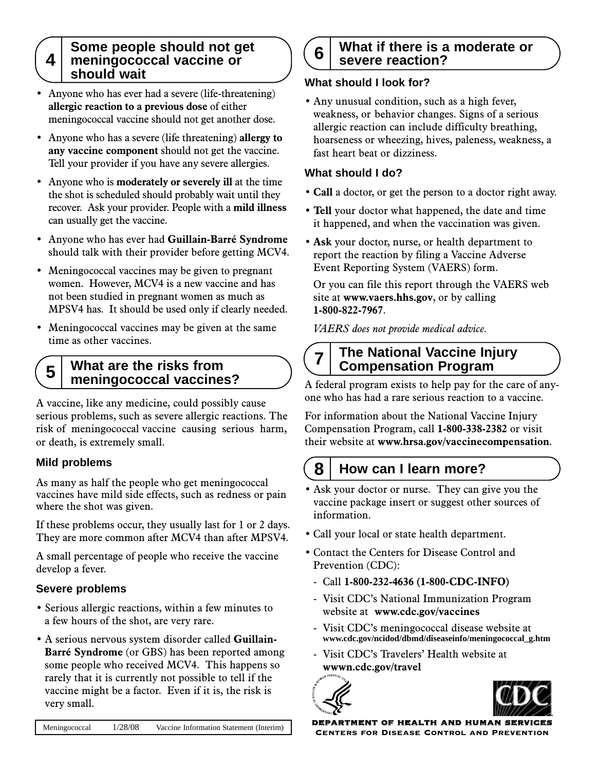#### **4** Some people should not get **meningococcal vaccine or should wait**

- Anyone who has ever had a severe (life-threatening) **allergic reaction to a previous dose** of either meningococcal vaccine should not get another dose.
- Anyone who has a severe (life threatening) **allergy to any vaccine component** should not get the vaccine. Tell your provider if you have any severe allergies.
- Anyone who is **moderately or severely ill** at the time the shot is scheduled should probably wait until they recover. Ask your provider. People with a **mild illness** can usually get the vaccine.
- Anyone who has ever had **Guillain-Barré Syndrome** should talk with their provider before getting MCV4.
- Meningococcal vaccines may be given to pregnant women. However, MCV4 is a new vaccine and has not been studied in pregnant women as much as MPSV4 has. It should be used only if clearly needed.
- Meningococcal vaccines may be given at the same time as other vaccines.

#### **5 What are the risks from meningococcal vaccines?**

A vaccine, like any medicine, could possibly cause serious problems, such as severe allergic reactions. The risk of meningococcal vaccine causing serious harm, or death, is extremely small.

#### **Mild problems**

As many as half the people who get meningococcal vaccines have mild side effects, such as redness or pain where the shot was given.

If these problems occur, they usually last for 1 or 2 days. They are more common after MCV4 than after MPSV4.

A small percentage of people who receive the vaccine develop a fever.

#### **Severe problems**

- Serious allergic reactions, within a few minutes to a few hours of the shot, are very rare.
- A serious nervous system disorder called **Guillain-Barré Syndrome** (or GBS) has been reported among some people who received MCV4. This happens so rarely that it is currently not possible to tell if the vaccine might be a factor. Even if it is, the risk is very small.

#### **6 What if there is a moderate or severe reaction?**

#### **What should I look for?**

• Any unusual condition, such as a high fever, weakness, or behavior changes. Signs of a serious allergic reaction can include difficulty breathing, hoarseness or wheezing, hives, paleness, weakness, a fast heart beat or dizziness.

#### **What should I do?**

- **Call** a doctor, or get the person to a doctor right away.
- **Tell** your doctor what happened, the date and time it happened, and when the vaccination was given.
- **Ask** your doctor, nurse, or health department to report the reaction by filing a Vaccine Adverse Event Reporting System (VAERS) form.

Or you can file this report through the VAERS web site at **www.vaers.hhs.gov**, or by calling **1-800-822-7967**.

*VAERS does not provide medical advice.*

#### **7 The National Vaccine Injury Compensation Program**

A federal program exists to help pay for the care of anyone who has had a rare serious reaction to a vaccine.

For information about the National Vaccine Injury Compensation Program, call **1-800-338-2382** or visit their website at **www.hrsa.gov/vaccinecompensation**.

# **8 How can I learn more?**

- Ask your doctor or nurse. They can give you the vaccine package insert or suggest other sources of information.
- Call your local or state health department.
- Contact the Centers for Disease Control and Prevention (CDC):
	- Call **1-800-232-4636 (1-800-CDC-INFO)**
	- Visit CDC's National Immunization Program website at **www.cdc.gov/vaccines**
	- Visit CDC's meningococcal disease website at **www.cdc.gov/ncidod/dbmd/diseaseinfo/meningococcal\_g.htm**
	- Visit CDC's Travelers' Health website at **wwwn.cdc.gov/travel**





ARTMENT OF HEALTH AND HUMAN SERVICES Centers for Disease Control and Prevention

Meningococcal 1/28/08 Vaccine Information Statement (Interim)